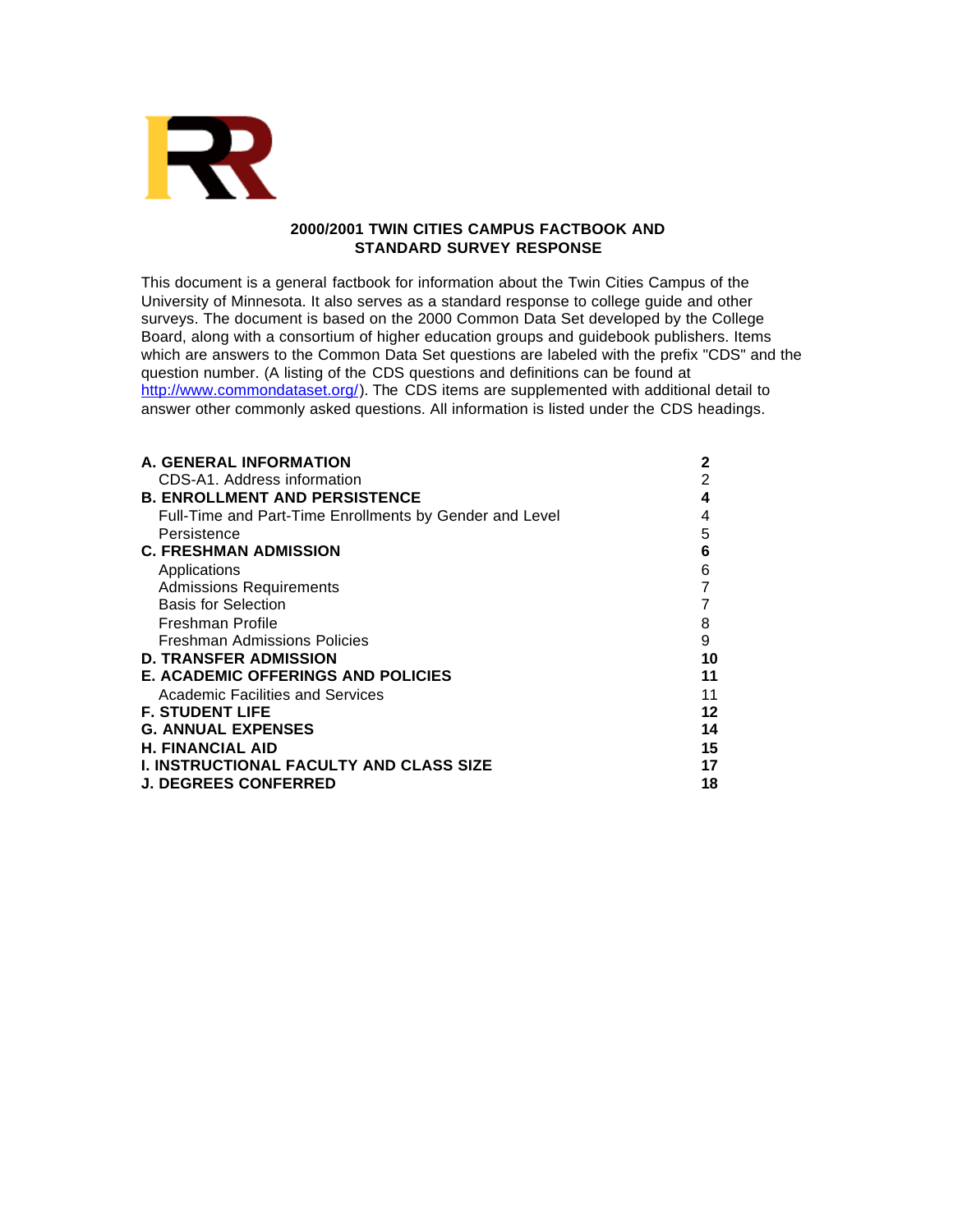

# **2000/2001 TWIN CITIES CAMPUS FACTBOOK AND STANDARD SURVEY RESPONSE**

This document is a general factbook for information about the Twin Cities Campus of the University of Minnesota. It also serves as a standard response to college guide and other surveys. The document is based on the 2000 Common Data Set developed by the College Board, along with a consortium of higher education groups and guidebook publishers. Items which are answers to the Common Data Set questions are labeled with the prefix "CDS" and the question number. (A listing of the CDS questions and definitions can be found at http://www.commondataset.org/). The CDS items are supplemented with additional detail to answer other commonly asked questions. All information is listed under the CDS headings.

| <b>A. GENERAL INFORMATION</b>                           | 2  |
|---------------------------------------------------------|----|
| CDS-A1. Address information                             | 2  |
| <b>B. ENROLLMENT AND PERSISTENCE</b>                    | 4  |
| Full-Time and Part-Time Enrollments by Gender and Level |    |
| Persistence                                             | 5  |
| <b>C. FRESHMAN ADMISSION</b>                            | 6  |
| Applications                                            | 6  |
| <b>Admissions Requirements</b>                          |    |
| <b>Basis for Selection</b>                              |    |
| Freshman Profile                                        | 8  |
| Freshman Admissions Policies                            | 9  |
| <b>D. TRANSFER ADMISSION</b>                            | 10 |
| <b>E. ACADEMIC OFFERINGS AND POLICIES</b>               | 11 |
| Academic Facilities and Services                        | 11 |
| <b>F. STUDENT LIFE</b>                                  | 12 |
| <b>G. ANNUAL EXPENSES</b>                               | 14 |
| <b>H. FINANCIAL AID</b>                                 | 15 |
| <b>I. INSTRUCTIONAL FACULTY AND CLASS SIZE</b>          | 17 |
| <b>J. DEGREES CONFERRED</b>                             | 18 |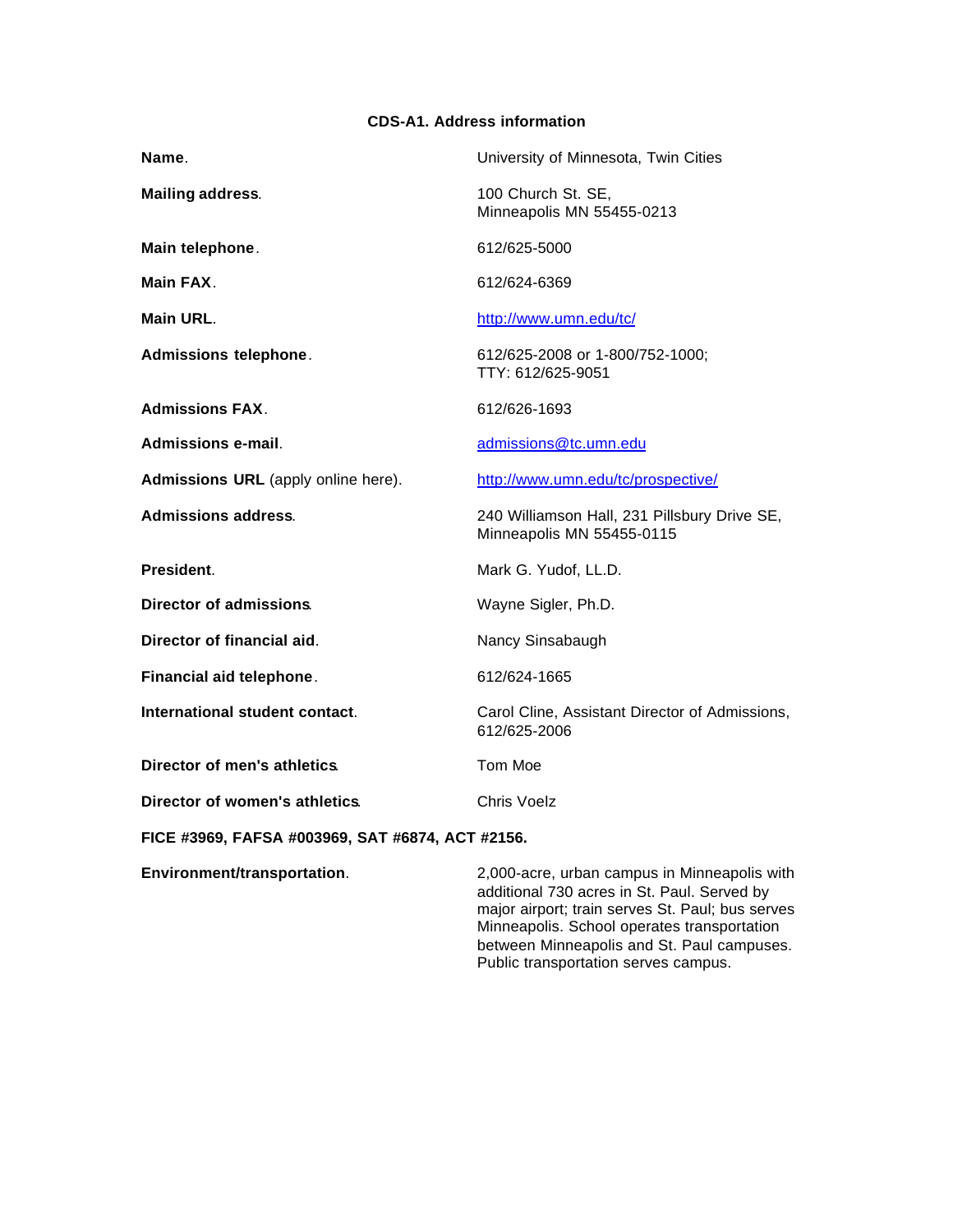# **CDS-A1. Address information**

| Name.                                            | University of Minnesota, Twin Cities                                                                                                                                                                                                        |
|--------------------------------------------------|---------------------------------------------------------------------------------------------------------------------------------------------------------------------------------------------------------------------------------------------|
| <b>Mailing address.</b>                          | 100 Church St. SE,<br>Minneapolis MN 55455-0213                                                                                                                                                                                             |
| Main telephone.                                  | 612/625-5000                                                                                                                                                                                                                                |
| Main FAX.                                        | 612/624-6369                                                                                                                                                                                                                                |
| Main URL.                                        | http://www.umn.edu/tc/                                                                                                                                                                                                                      |
| Admissions telephone.                            | 612/625-2008 or 1-800/752-1000;<br>TTY: 612/625-9051                                                                                                                                                                                        |
| <b>Admissions FAX.</b>                           | 612/626-1693                                                                                                                                                                                                                                |
| Admissions e-mail.                               | admissions@tc.umn.edu                                                                                                                                                                                                                       |
| Admissions URL (apply online here).              | http://www.umn.edu/tc/prospective/                                                                                                                                                                                                          |
| <b>Admissions address.</b>                       | 240 Williamson Hall, 231 Pillsbury Drive SE,<br>Minneapolis MN 55455-0115                                                                                                                                                                   |
| President.                                       | Mark G. Yudof, LL.D.                                                                                                                                                                                                                        |
| Director of admissions.                          | Wayne Sigler, Ph.D.                                                                                                                                                                                                                         |
| Director of financial aid.                       | Nancy Sinsabaugh                                                                                                                                                                                                                            |
| Financial aid telephone.                         | 612/624-1665                                                                                                                                                                                                                                |
| International student contact.                   | Carol Cline, Assistant Director of Admissions,<br>612/625-2006                                                                                                                                                                              |
| Director of men's athletics.                     | Tom Moe                                                                                                                                                                                                                                     |
| Director of women's athletics.                   | Chris Voelz                                                                                                                                                                                                                                 |
| FICE #3969, FAFSA #003969, SAT #6874, ACT #2156. |                                                                                                                                                                                                                                             |
| Environment/transportation.                      | 2,000-acre, urban campus in Minneapolis with<br>additional 730 acres in St. Paul. Served by<br>major airport; train serves St. Paul; bus serves<br>Minneapolis. School operates transportation<br>botwoon Minnegnolic and St. Paul campuses |

between Minneapolis and St. Paul campuses. Public transportation serves campus.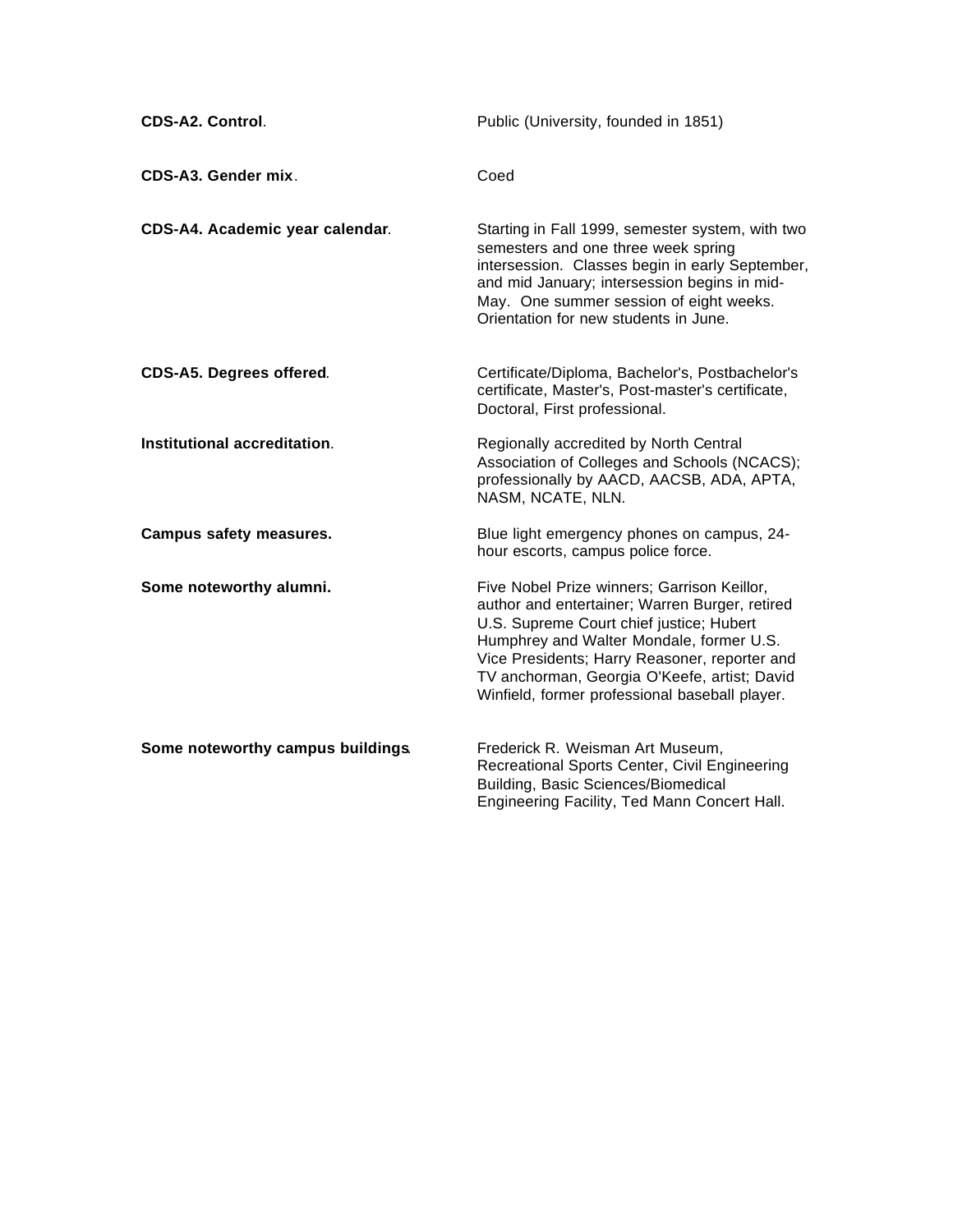| CDS-A2. Control.                  | Public (University, founded in 1851)                                                                                                                                                                                                                                                                                                     |
|-----------------------------------|------------------------------------------------------------------------------------------------------------------------------------------------------------------------------------------------------------------------------------------------------------------------------------------------------------------------------------------|
| CDS-A3. Gender mix.               | Coed                                                                                                                                                                                                                                                                                                                                     |
| CDS-A4. Academic year calendar.   | Starting in Fall 1999, semester system, with two<br>semesters and one three week spring<br>intersession. Classes begin in early September,<br>and mid January; intersession begins in mid-<br>May. One summer session of eight weeks.<br>Orientation for new students in June.                                                           |
| CDS-A5. Degrees offered.          | Certificate/Diploma, Bachelor's, Postbachelor's<br>certificate, Master's, Post-master's certificate,<br>Doctoral, First professional.                                                                                                                                                                                                    |
| Institutional accreditation.      | Regionally accredited by North Central<br>Association of Colleges and Schools (NCACS);<br>professionally by AACD, AACSB, ADA, APTA,<br>NASM, NCATE, NLN.                                                                                                                                                                                 |
| <b>Campus safety measures.</b>    | Blue light emergency phones on campus, 24-<br>hour escorts, campus police force.                                                                                                                                                                                                                                                         |
| Some noteworthy alumni.           | Five Nobel Prize winners; Garrison Keillor,<br>author and entertainer; Warren Burger, retired<br>U.S. Supreme Court chief justice; Hubert<br>Humphrey and Walter Mondale, former U.S.<br>Vice Presidents; Harry Reasoner, reporter and<br>TV anchorman, Georgia O'Keefe, artist; David<br>Winfield, former professional baseball player. |
| Some noteworthy campus buildings. | Frederick R. Weisman Art Museum,<br>Recreational Sports Center, Civil Engineering<br>Building, Basic Sciences/Biomedical<br>Engineering Facility, Ted Mann Concert Hall.                                                                                                                                                                 |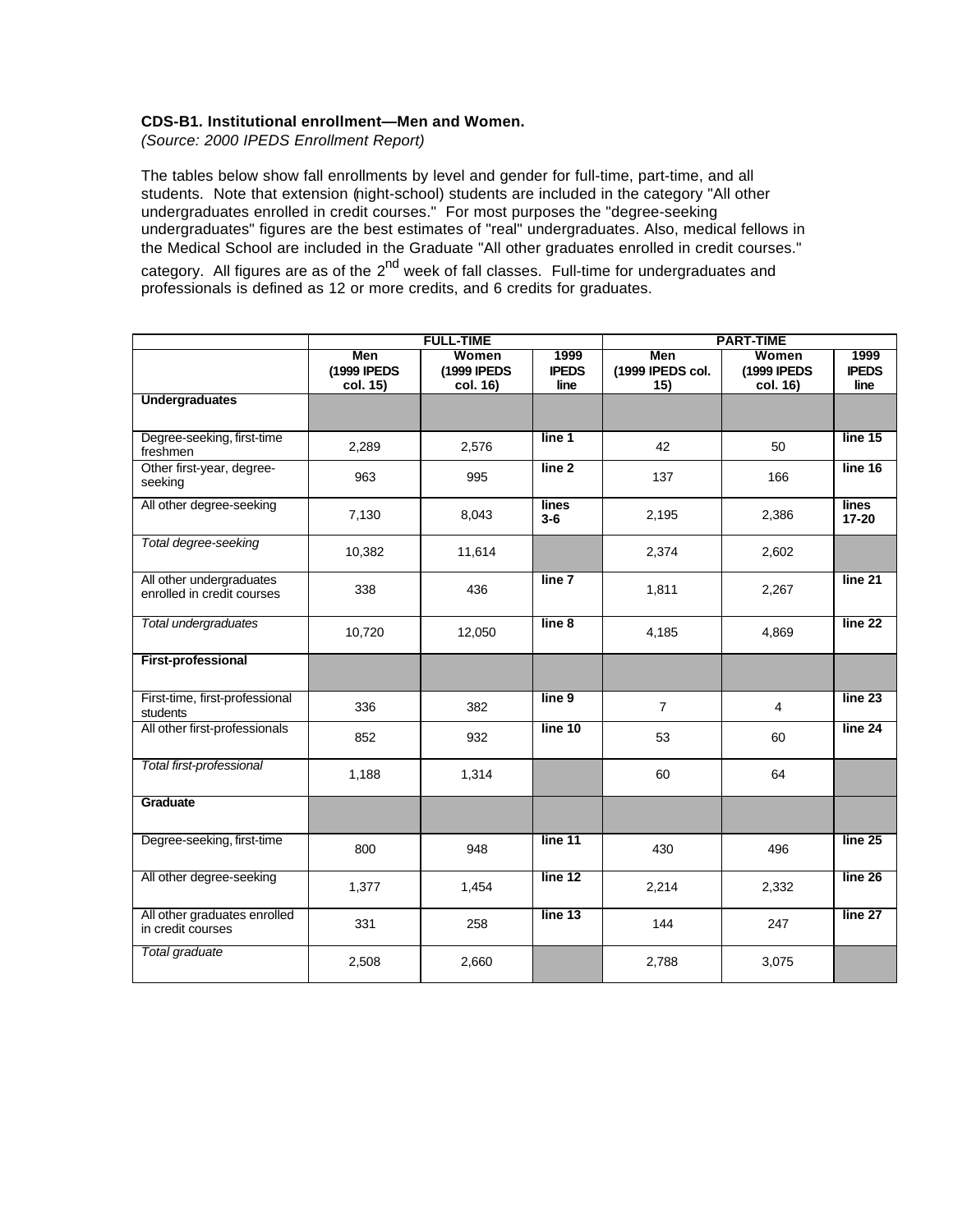# **CDS-B1. Institutional enrollment—Men and Women.**

*(Source: 2000 IPEDS Enrollment Report)*

The tables below show fall enrollments by level and gender for full-time, part-time, and all students. Note that extension (night-school) students are included in the category "All other undergraduates enrolled in credit courses." For most purposes the "degree-seeking undergraduates" figures are the best estimates of "real" undergraduates. Also, medical fellows in the Medical School are included in the Graduate "All other graduates enrolled in credit courses." category. All figures are as of the 2<sup>nd</sup> week of fall classes. Full-time for undergraduates and professionals is defined as 12 or more credits, and 6 credits for graduates.

|                                                        | <b>FULL-TIME</b>               |                                  |                              | <b>PART-TIME</b>               |                                  |                              |
|--------------------------------------------------------|--------------------------------|----------------------------------|------------------------------|--------------------------------|----------------------------------|------------------------------|
|                                                        | Men<br>(1999 IPEDS<br>col. 15) | Women<br>(1999 IPEDS<br>col. 16) | 1999<br><b>IPEDS</b><br>line | Men<br>(1999 IPEDS col.<br>15) | Women<br>(1999 IPEDS<br>col. 16) | 1999<br><b>IPEDS</b><br>line |
| <b>Undergraduates</b>                                  |                                |                                  |                              |                                |                                  |                              |
| Degree-seeking, first-time<br>freshmen                 | 2,289                          | 2,576                            | line 1                       | 42                             | 50                               | line 15                      |
| Other first-year, degree-<br>seeking                   | 963                            | 995                              | line <sub>2</sub>            | 137                            | 166                              | line 16                      |
| All other degree-seeking                               | 7,130                          | 8,043                            | lines<br>$3-6$               | 2,195                          | 2,386                            | lines<br>$17 - 20$           |
| Total degree-seeking                                   | 10,382                         | 11,614                           |                              | 2,374                          | 2,602                            |                              |
| All other undergraduates<br>enrolled in credit courses | 338                            | 436                              | line 7                       | 1,811                          | 2,267                            | line <sub>21</sub>           |
| Total undergraduates                                   | 10,720                         | 12,050                           | line 8                       | 4,185                          | 4,869                            | line 22                      |
| <b>First-professional</b>                              |                                |                                  |                              |                                |                                  |                              |
| First-time, first-professional<br>students             | 336                            | 382                              | line 9                       | $\overline{7}$                 | $\overline{4}$                   | line 23                      |
| All other first-professionals                          | 852                            | 932                              | line 10                      | 53                             | 60                               | line 24                      |
| Total first-professional                               | 1,188                          | 1,314                            |                              | 60                             | 64                               |                              |
| Graduate                                               |                                |                                  |                              |                                |                                  |                              |
| Degree-seeking, first-time                             | 800                            | 948                              | line 11                      | 430                            | 496                              | line 25                      |
| All other degree-seeking                               | 1,377                          | 1,454                            | line 12                      | 2,214                          | 2,332                            | line 26                      |
| All other graduates enrolled<br>in credit courses      | 331                            | 258                              | line 13                      | 144                            | 247                              | line 27                      |
| <b>Total graduate</b>                                  | 2,508                          | 2,660                            |                              | 2,788                          | 3,075                            |                              |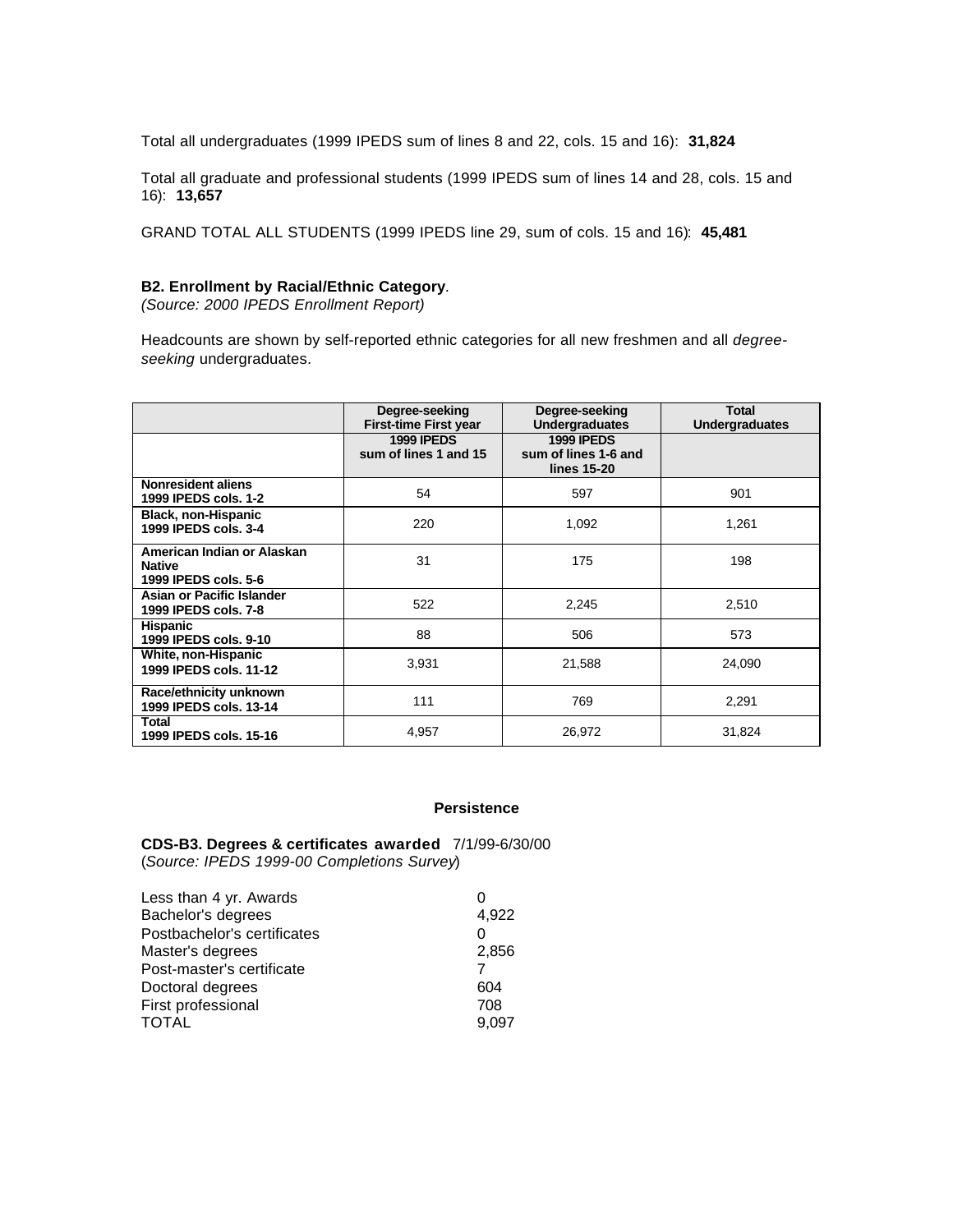Total all undergraduates (1999 IPEDS sum of lines 8 and 22, cols. 15 and 16): **31,824**

Total all graduate and professional students (1999 IPEDS sum of lines 14 and 28, cols. 15 and 16): **13,657**

GRAND TOTAL ALL STUDENTS (1999 IPEDS line 29, sum of cols. 15 and 16): **45,481**

### **B2. Enrollment by Racial/Ethnic Category***.*

*(Source: 2000 IPEDS Enrollment Report)*

Headcounts are shown by self-reported ethnic categories for all new freshmen and all *degreeseeking* undergraduates.

|                                                                     | Degree-seeking<br><b>First-time First year</b> | Degree-seeking<br><b>Undergraduates</b>                  | <b>Total</b><br><b>Undergraduates</b> |
|---------------------------------------------------------------------|------------------------------------------------|----------------------------------------------------------|---------------------------------------|
|                                                                     | <b>1999 IPEDS</b><br>sum of lines 1 and 15     | <b>1999 IPEDS</b><br>sum of lines 1-6 and<br>lines 15-20 |                                       |
| Nonresident aliens<br>1999 IPEDS cols. 1-2                          | 54                                             | 597                                                      | 901                                   |
| <b>Black, non-Hispanic</b><br>1999 IPEDS cols. 3-4                  | 220                                            | 1,092                                                    | 1,261                                 |
| American Indian or Alaskan<br><b>Native</b><br>1999 IPEDS cols, 5-6 | 31                                             | 175                                                      | 198                                   |
| Asian or Pacific Islander<br>1999 IPEDS cols, 7-8                   | 522                                            | 2,245                                                    | 2,510                                 |
| <b>Hispanic</b><br>1999 IPEDS cols, 9-10                            | 88                                             | 506                                                      | 573                                   |
| White, non-Hispanic<br>1999 IPEDS cols. 11-12                       | 3,931                                          | 21,588                                                   | 24,090                                |
| Race/ethnicity unknown<br>1999 IPEDS cols. 13-14                    | 111                                            | 769                                                      | 2,291                                 |
| Total<br>1999 IPEDS cols. 15-16                                     | 4,957                                          | 26,972                                                   | 31,824                                |

#### **Persistence**

**CDS-B3. Degrees & certificates awarded** 7/1/99-6/30/00 (*Source: IPEDS 1999-00 Completions Survey*)

| Less than 4 yr. Awards      |       |
|-----------------------------|-------|
| Bachelor's degrees          | 4,922 |
| Postbachelor's certificates | Ω     |
| Master's degrees            | 2,856 |
| Post-master's certificate   |       |
| Doctoral degrees            | 604   |
| First professional          | 708   |
| <b>TOTAL</b>                | 9.097 |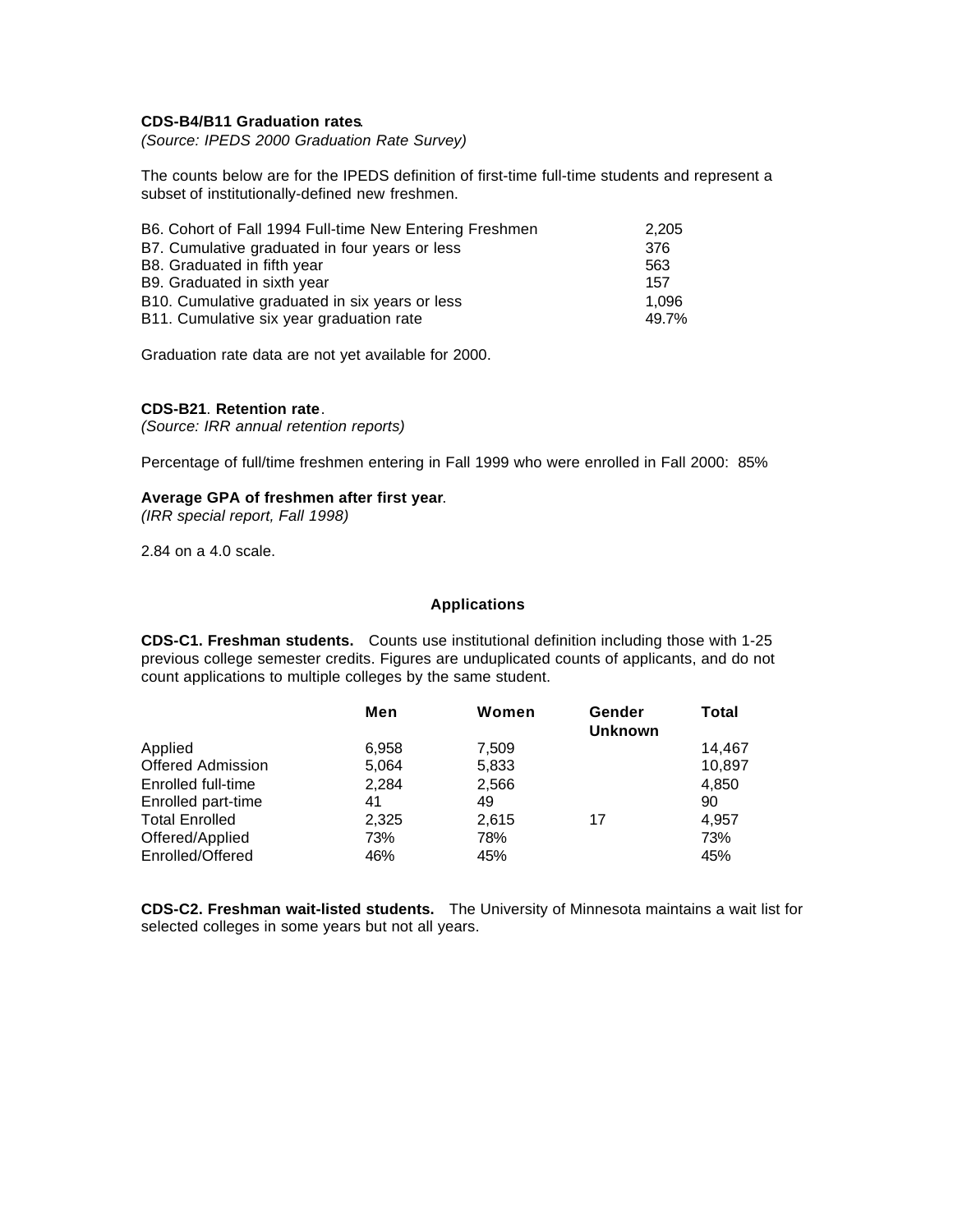# **CDS-B4/B11 Graduation rates**.

*(Source: IPEDS 2000 Graduation Rate Survey)*

The counts below are for the IPEDS definition of first-time full-time students and represent a subset of institutionally-defined new freshmen.

| B6. Cohort of Fall 1994 Full-time New Entering Freshmen | 2,205 |
|---------------------------------------------------------|-------|
| B7. Cumulative graduated in four years or less          | 376   |
| B8. Graduated in fifth year                             | 563   |
| B9. Graduated in sixth year                             | 157   |
| B10. Cumulative graduated in six years or less          | 1.096 |
| B11. Cumulative six year graduation rate                | 49.7% |

Graduation rate data are not yet available for 2000.

#### **CDS-B21**. **Retention rate**.

*(Source: IRR annual retention reports)*

Percentage of full/time freshmen entering in Fall 1999 who were enrolled in Fall 2000: 85%

#### **Average GPA of freshmen after first year**.

*(IRR special report, Fall 1998)*

2.84 on a 4.0 scale.

#### **Applications**

**CDS-C1. Freshman students.** Counts use institutional definition including those with 1-25 previous college semester credits. Figures are unduplicated counts of applicants, and do not count applications to multiple colleges by the same student.

|                          | Men   | Women | Gender<br><b>Unknown</b> | Total  |
|--------------------------|-------|-------|--------------------------|--------|
| Applied                  | 6,958 | 7,509 |                          | 14,467 |
| <b>Offered Admission</b> | 5,064 | 5,833 |                          | 10,897 |
| Enrolled full-time       | 2.284 | 2.566 |                          | 4.850  |
| Enrolled part-time       | 41    | 49    |                          | 90     |
| <b>Total Enrolled</b>    | 2,325 | 2.615 | 17                       | 4.957  |
| Offered/Applied          | 73%   | 78%   |                          | 73%    |
| Enrolled/Offered         | 46%   | 45%   |                          | 45%    |

**CDS-C2. Freshman wait-listed students.** The University of Minnesota maintains a wait list for selected colleges in some years but not all years.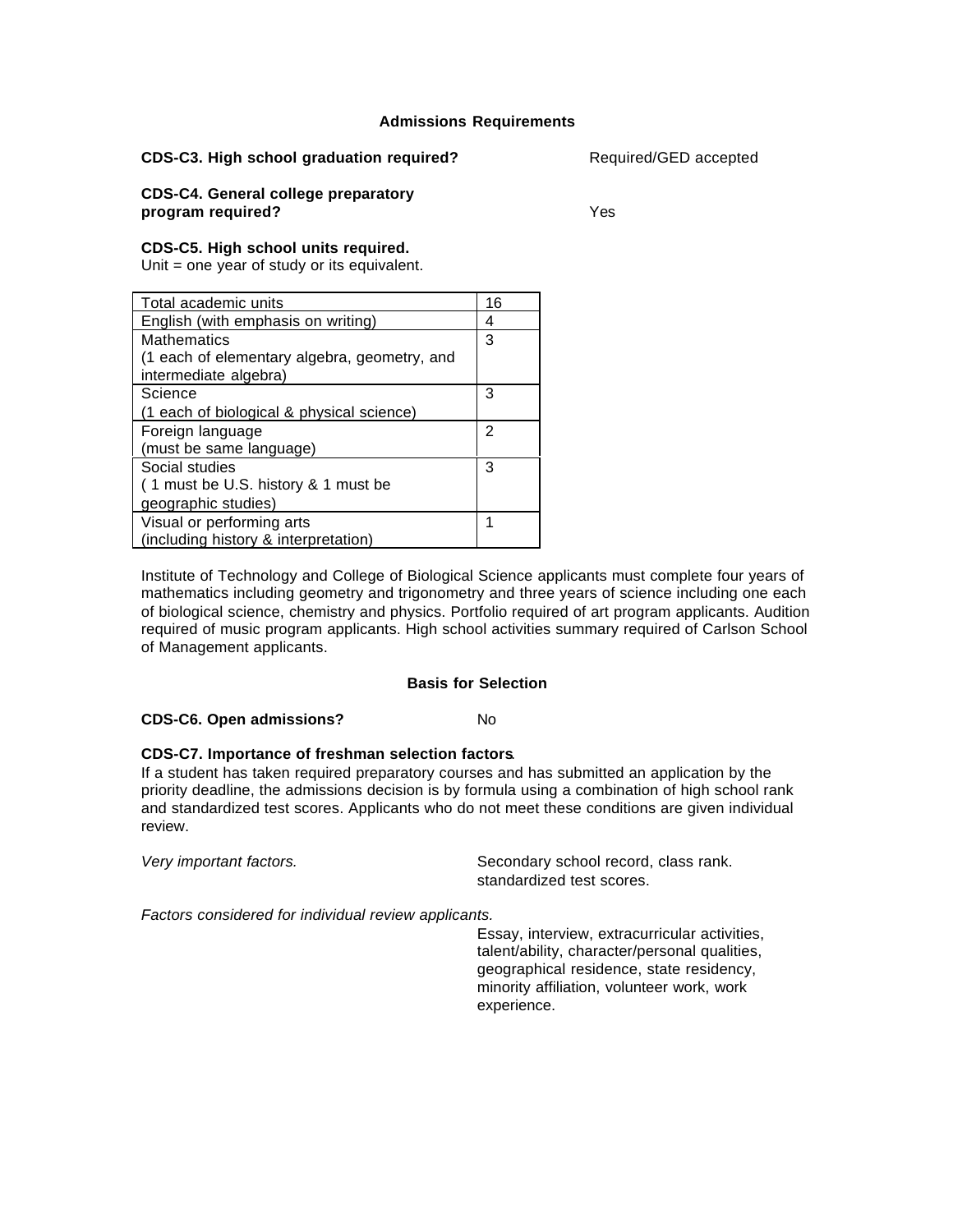# **Admissions Requirements**

#### **CDS-C3. High school graduation required?** Required/GED accepted

#### **CDS-C4. General college preparatory program required?** Yes

# **CDS-C5. High school units required.**

Unit = one year of study or its equivalent.

| Total academic units                         | 16 |
|----------------------------------------------|----|
| English (with emphasis on writing)           | 4  |
| <b>Mathematics</b>                           | 3  |
| (1 each of elementary algebra, geometry, and |    |
| intermediate algebra)                        |    |
| Science                                      | 3  |
| (1 each of biological & physical science)    |    |
| Foreign language                             | 2  |
| (must be same language)                      |    |
| Social studies                               | 3  |
| (1 must be U.S. history & 1 must be          |    |
| geographic studies)                          |    |
| Visual or performing arts                    |    |
| (including history & interpretation)         |    |

Institute of Technology and College of Biological Science applicants must complete four years of mathematics including geometry and trigonometry and three years of science including one each of biological science, chemistry and physics. Portfolio required of art program applicants. Audition required of music program applicants. High school activities summary required of Carlson School of Management applicants.

#### **Basis for Selection**

# **CDS-C6. Open admissions?** No

# **CDS-C7. Importance of freshman selection factors**.

If a student has taken required preparatory courses and has submitted an application by the priority deadline, the admissions decision is by formula using a combination of high school rank and standardized test scores. Applicants who do not meet these conditions are given individual review.

Very important factors. The secondary school record, class rank. standardized test scores.

*Factors considered for individual review applicants.*

Essay, interview, extracurricular activities, talent/ability, character/personal qualities, geographical residence, state residency, minority affiliation, volunteer work, work experience.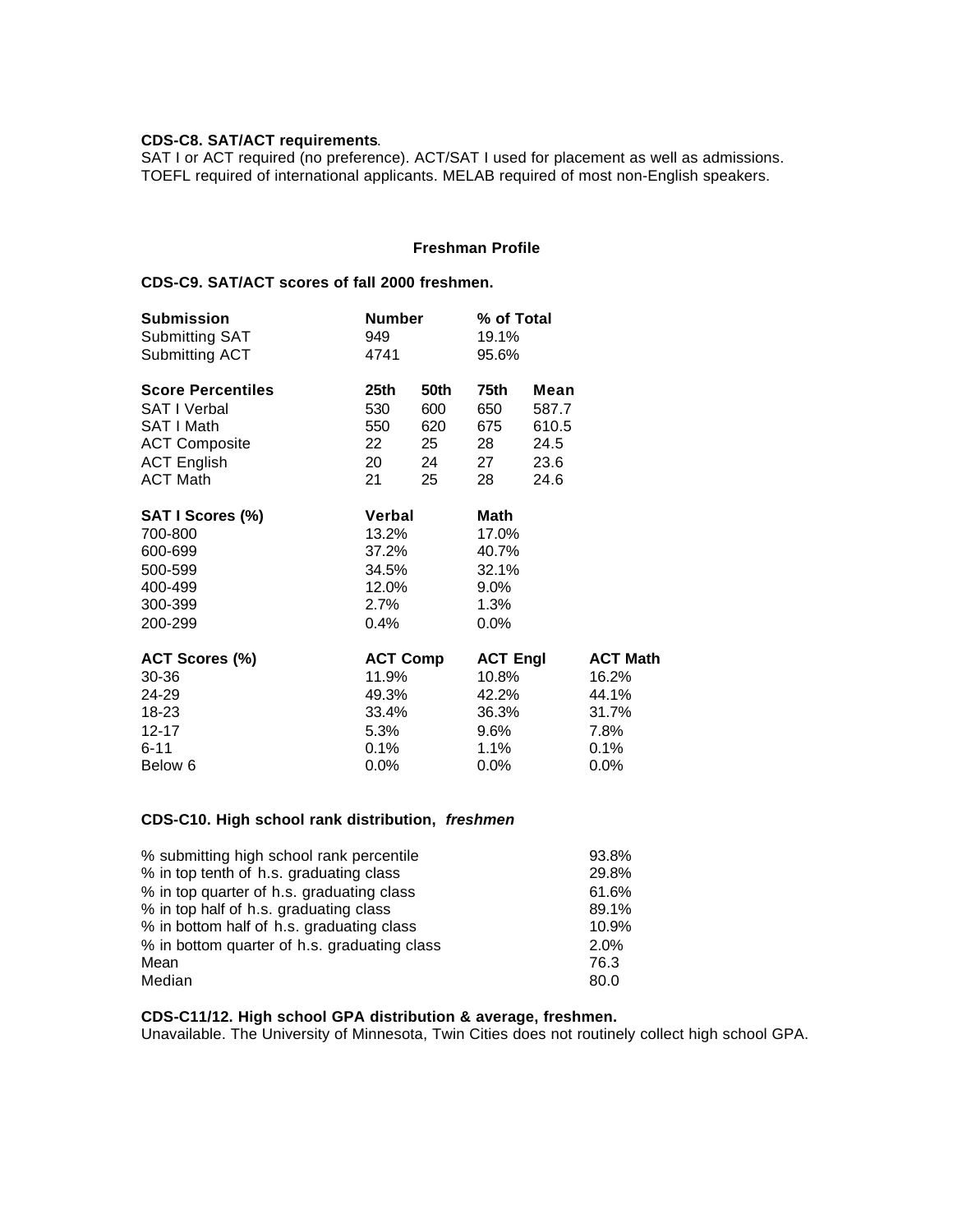# **CDS-C8. SAT/ACT requirements**.

SAT I or ACT required (no preference). ACT/SAT I used for placement as well as admissions. TOEFL required of international applicants. MELAB required of most non-English speakers.

# **Freshman Profile**

# **CDS-C9. SAT/ACT scores of fall 2000 freshmen.**

| <b>Submission</b>        | <b>Number</b>   |      | % of Total      |       |                 |
|--------------------------|-----------------|------|-----------------|-------|-----------------|
| <b>Submitting SAT</b>    | 949             |      | 19.1%           |       |                 |
| Submitting ACT           | 4741            |      | 95.6%           |       |                 |
| <b>Score Percentiles</b> | 25th            | 50th | 75th            | Mean  |                 |
| <b>SAT I Verbal</b>      | 530             | 600  | 650             | 587.7 |                 |
| SAT I Math               | 550             | 620  | 675             | 610.5 |                 |
| <b>ACT Composite</b>     | 22              | 25   | 28              | 24.5  |                 |
| <b>ACT English</b>       | 20              | 24   | 27              | 23.6  |                 |
| <b>ACT Math</b>          | 21              | 25   | 28              | 24.6  |                 |
| SAT I Scores (%)         | <b>Verbal</b>   |      | Math            |       |                 |
| 700-800                  | 13.2%           |      | 17.0%           |       |                 |
| 600-699                  | 37.2%           |      | 40.7%           |       |                 |
| 500-599                  | 34.5%           |      | 32.1%           |       |                 |
| 400-499                  | 12.0%           |      | $9.0\%$         |       |                 |
| 300-399                  | 2.7%            |      | 1.3%            |       |                 |
| 200-299                  | 0.4%            |      | $0.0\%$         |       |                 |
| ACT Scores (%)           | <b>ACT Comp</b> |      | <b>ACT Engl</b> |       | <b>ACT Math</b> |
| 30-36                    | 11.9%           |      | 10.8%           |       | 16.2%           |
| 24-29                    | 49.3%           |      | 42.2%           |       | 44.1%           |
| 18-23                    | 33.4%           |      | 36.3%           |       | 31.7%           |
| $12 - 17$                | 5.3%            |      | 9.6%            |       | 7.8%            |
| $6 - 11$                 | 0.1%            |      | 1.1%            |       | 0.1%            |
| Below 6                  | $0.0\%$         |      | $0.0\%$         |       | $0.0\%$         |

# **CDS-C10. High school rank distribution,** *freshmen*

| % submitting high school rank percentile     | 93.8% |
|----------------------------------------------|-------|
| % in top tenth of h.s. graduating class      | 29.8% |
| % in top quarter of h.s. graduating class    | 61.6% |
| % in top half of h.s. graduating class       | 89.1% |
| % in bottom half of h.s. graduating class    | 10.9% |
| % in bottom quarter of h.s. graduating class | 2.0%  |
| Mean                                         | 76.3  |
| Median                                       | 80.0  |

# **CDS-C11/12. High school GPA distribution & average, freshmen.**

Unavailable. The University of Minnesota, Twin Cities does not routinely collect high school GPA.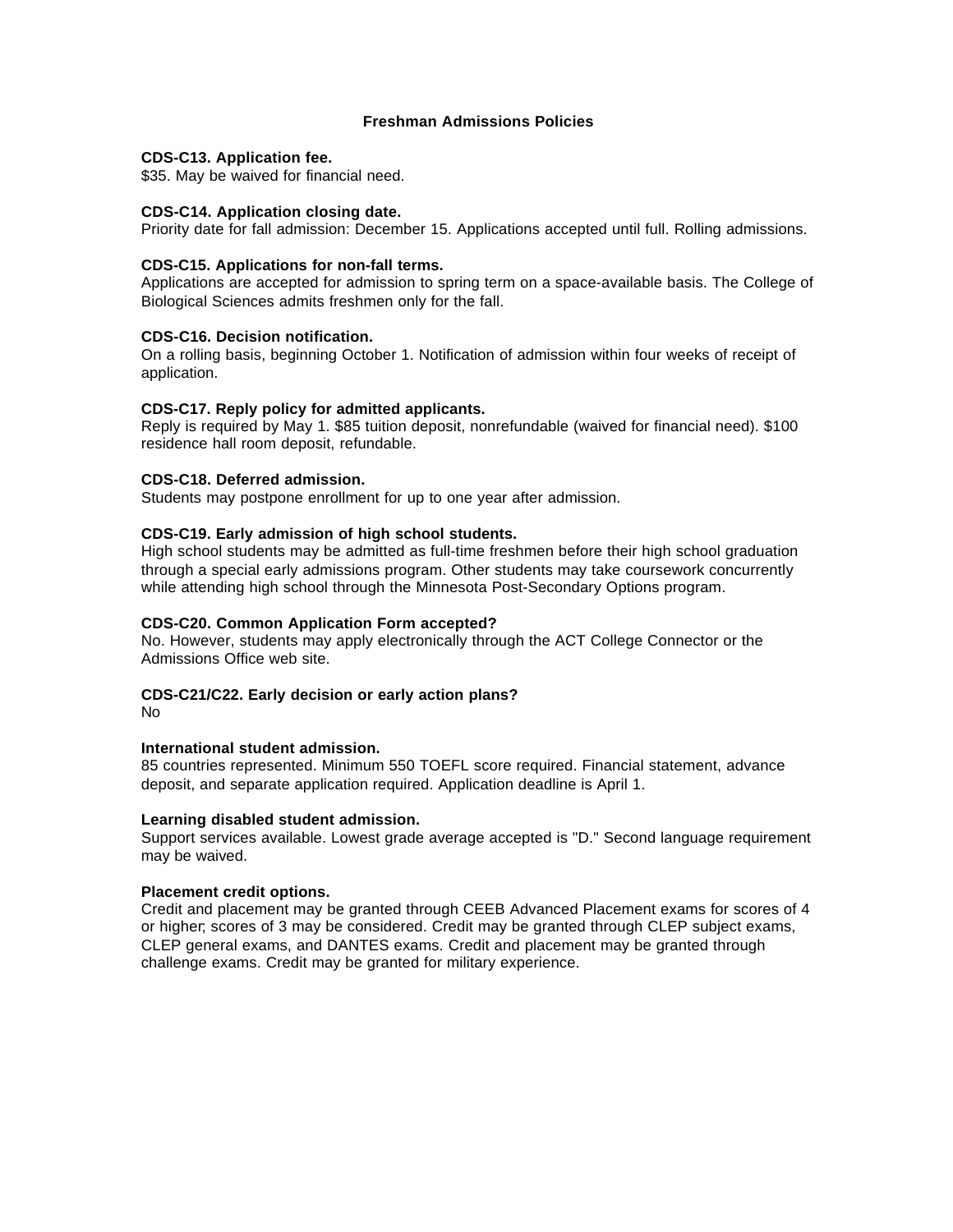# **Freshman Admissions Policies**

#### **CDS-C13. Application fee.**

\$35. May be waived for financial need.

#### **CDS-C14. Application closing date.**

Priority date for fall admission: December 15. Applications accepted until full. Rolling admissions.

#### **CDS-C15. Applications for non-fall terms.**

Applications are accepted for admission to spring term on a space-available basis. The College of Biological Sciences admits freshmen only for the fall.

#### **CDS-C16. Decision notification.**

On a rolling basis, beginning October 1. Notification of admission within four weeks of receipt of application.

#### **CDS-C17. Reply policy for admitted applicants.**

Reply is required by May 1. \$85 tuition deposit, nonrefundable (waived for financial need). \$100 residence hall room deposit, refundable.

#### **CDS-C18. Deferred admission.**

Students may postpone enrollment for up to one year after admission.

#### **CDS-C19. Early admission of high school students.**

High school students may be admitted as full-time freshmen before their high school graduation through a special early admissions program. Other students may take coursework concurrently while attending high school through the Minnesota Post-Secondary Options program.

#### **CDS-C20. Common Application Form accepted?**

No. However, students may apply electronically through the ACT College Connector or the Admissions Office web site.

# **CDS-C21/C22. Early decision or early action plans?**

No

# **International student admission.**

85 countries represented. Minimum 550 TOEFL score required. Financial statement, advance deposit, and separate application required. Application deadline is April 1.

### **Learning disabled student admission.**

Support services available. Lowest grade average accepted is "D." Second language requirement may be waived.

#### **Placement credit options.**

Credit and placement may be granted through CEEB Advanced Placement exams for scores of 4 or higher; scores of 3 may be considered. Credit may be granted through CLEP subject exams, CLEP general exams, and DANTES exams. Credit and placement may be granted through challenge exams. Credit may be granted for military experience.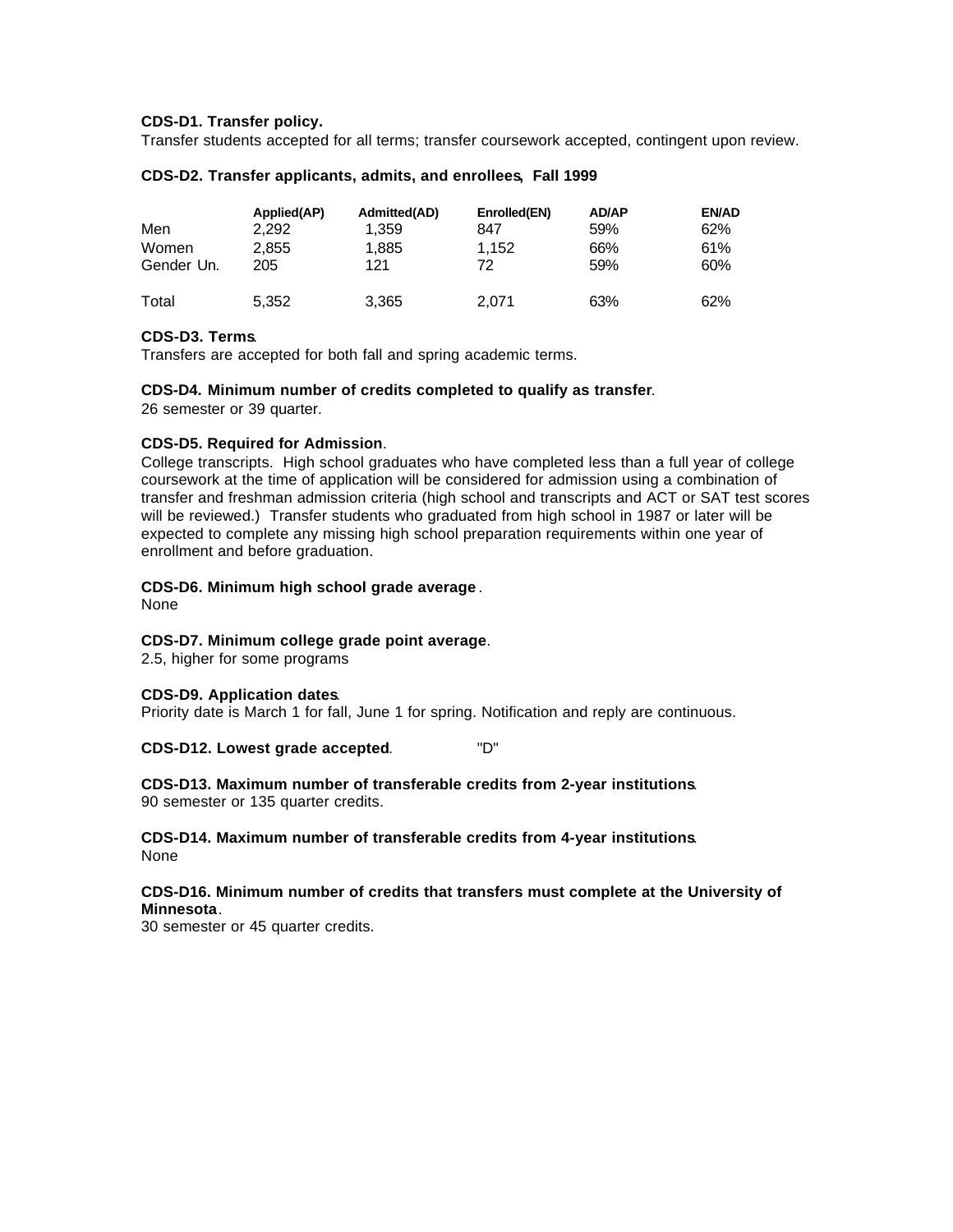#### **CDS-D1. Transfer policy.**

Transfer students accepted for all terms; transfer coursework accepted, contingent upon review.

| Men<br>Women<br>Gender Un. | Applied(AP)<br>2.292<br>2,855<br>205 | Admitted(AD)<br>1,359<br>1,885<br>121 | Enrolled(EN)<br>847<br>1.152<br>72 | <b>AD/AP</b><br>59%<br>66%<br>59% | <b>EN/AD</b><br>62%<br>61%<br>60% |
|----------------------------|--------------------------------------|---------------------------------------|------------------------------------|-----------------------------------|-----------------------------------|
| Total                      | 5,352                                | 3,365                                 | 2.071                              | 63%                               | 62%                               |

#### **CDS-D2. Transfer applicants, admits, and enrollees, Fall 1999**

#### **CDS-D3. Terms**.

Transfers are accepted for both fall and spring academic terms.

#### **CDS-D4. Minimum number of credits completed to qualify as transfer**.

26 semester or 39 quarter.

#### **CDS-D5. Required for Admission**.

College transcripts. High school graduates who have completed less than a full year of college coursework at the time of application will be considered for admission using a combination of transfer and freshman admission criteria (high school and transcripts and ACT or SAT test scores will be reviewed.) Transfer students who graduated from high school in 1987 or later will be expected to complete any missing high school preparation requirements within one year of enrollment and before graduation.

#### **CDS-D6. Minimum high school grade average** .

None

# **CDS-D7. Minimum college grade point average**.

2.5, higher for some programs

#### **CDS-D9. Application dates**.

Priority date is March 1 for fall, June 1 for spring. Notification and reply are continuous.

**CDS-D12. Lowest grade accepted**. "D"

**CDS-D13. Maximum number of transferable credits from 2-year institutions**. 90 semester or 135 quarter credits.

**CDS-D14. Maximum number of transferable credits from 4-year institutions**. None

#### **CDS-D16. Minimum number of credits that transfers must complete at the University of Minnesota**.

30 semester or 45 quarter credits.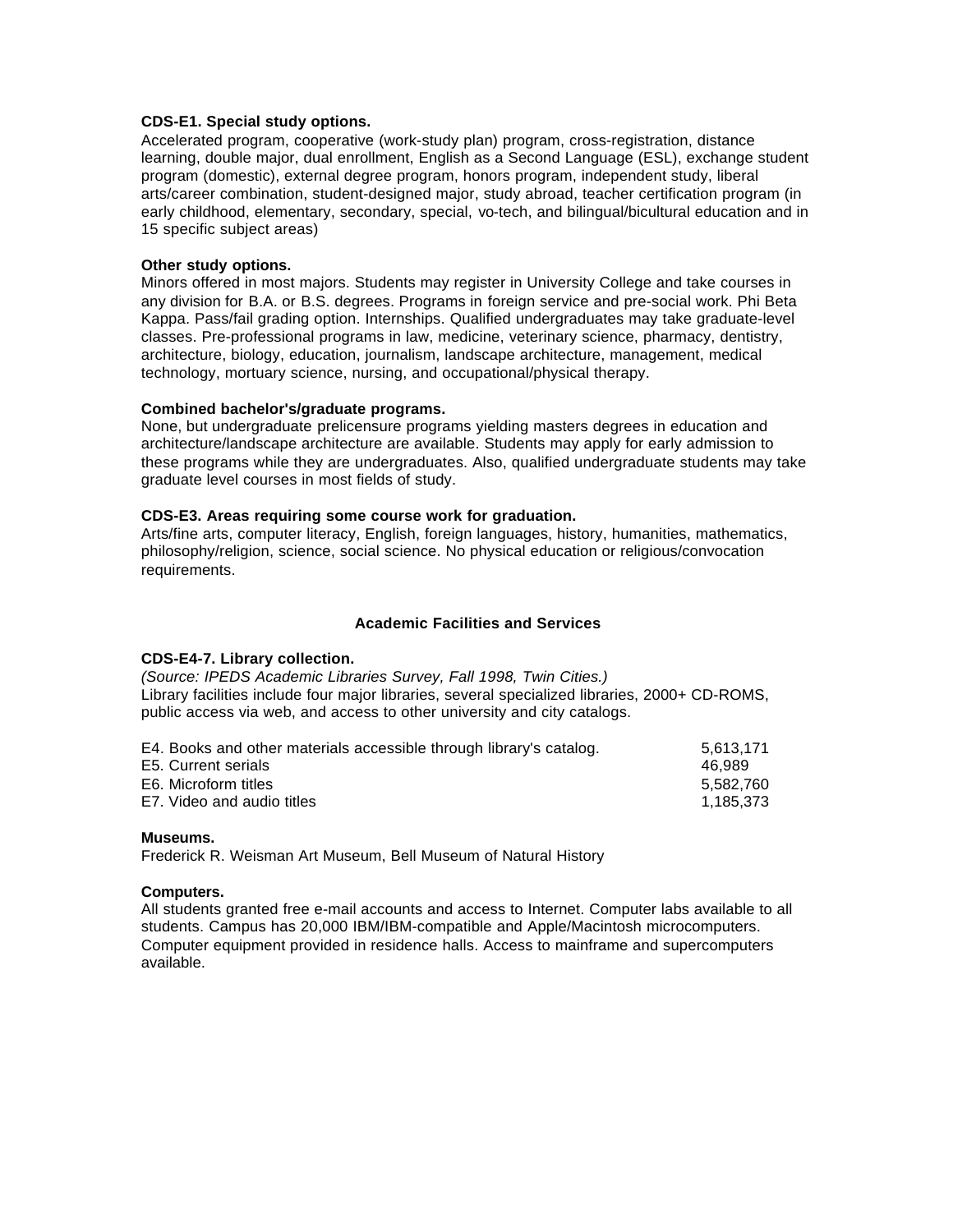#### **CDS-E1. Special study options.**

Accelerated program, cooperative (work-study plan) program, cross-registration, distance learning, double major, dual enrollment, English as a Second Language (ESL), exchange student program (domestic), external degree program, honors program, independent study, liberal arts/career combination, student-designed major, study abroad, teacher certification program (in early childhood, elementary, secondary, special, vo-tech, and bilingual/bicultural education and in 15 specific subject areas)

### **Other study options.**

Minors offered in most majors. Students may register in University College and take courses in any division for B.A. or B.S. degrees. Programs in foreign service and pre-social work. Phi Beta Kappa. Pass/fail grading option. Internships. Qualified undergraduates may take graduate-level classes. Pre-professional programs in law, medicine, veterinary science, pharmacy, dentistry, architecture, biology, education, journalism, landscape architecture, management, medical technology, mortuary science, nursing, and occupational/physical therapy.

#### **Combined bachelor's/graduate programs.**

None, but undergraduate prelicensure programs yielding masters degrees in education and architecture/landscape architecture are available. Students may apply for early admission to these programs while they are undergraduates. Also, qualified undergraduate students may take graduate level courses in most fields of study.

#### **CDS-E3. Areas requiring some course work for graduation.**

Arts/fine arts, computer literacy, English, foreign languages, history, humanities, mathematics, philosophy/religion, science, social science. No physical education or religious/convocation requirements.

#### **Academic Facilities and Services**

# **CDS-E4-7. Library collection.**

*(Source: IPEDS Academic Libraries Survey, Fall 1998, Twin Cities.)* Library facilities include four major libraries, several specialized libraries, 2000+ CD-ROMS, public access via web, and access to other university and city catalogs.

| E4. Books and other materials accessible through library's catalog. | 5.613.171 |
|---------------------------------------------------------------------|-----------|
| E5. Current serials                                                 | 46.989    |
| E6. Microform titles                                                | 5.582.760 |
| E7. Video and audio titles                                          | 1.185.373 |

#### **Museums.**

Frederick R. Weisman Art Museum, Bell Museum of Natural History

#### **Computers.**

All students granted free e-mail accounts and access to Internet. Computer labs available to all students. Campus has 20,000 IBM/IBM-compatible and Apple/Macintosh microcomputers. Computer equipment provided in residence halls. Access to mainframe and supercomputers available.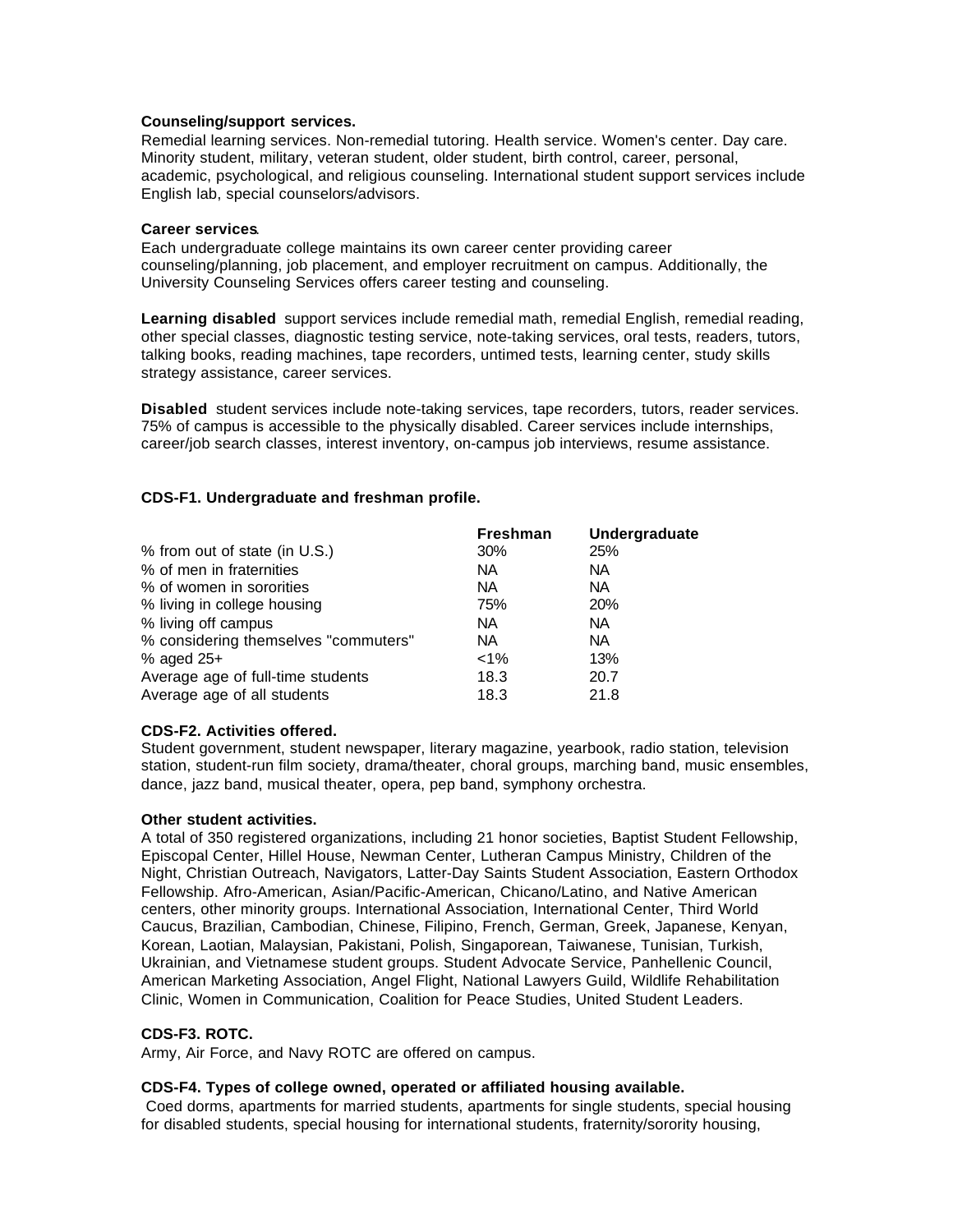#### **Counseling/support services.**

Remedial learning services. Non-remedial tutoring. Health service. Women's center. Day care. Minority student, military, veteran student, older student, birth control, career, personal, academic, psychological, and religious counseling. International student support services include English lab, special counselors/advisors.

# **Career services**.

Each undergraduate college maintains its own career center providing career counseling/planning, job placement, and employer recruitment on campus. Additionally, the University Counseling Services offers career testing and counseling.

**Learning disabled** support services include remedial math, remedial English, remedial reading, other special classes, diagnostic testing service, note-taking services, oral tests, readers, tutors, talking books, reading machines, tape recorders, untimed tests, learning center, study skills strategy assistance, career services.

**Disabled** student services include note-taking services, tape recorders, tutors, reader services. 75% of campus is accessible to the physically disabled. Career services include internships, career/job search classes, interest inventory, on-campus job interviews, resume assistance.

# **CDS-F1. Undergraduate and freshman profile.**

|                                      | <b>Freshman</b> | Undergraduate |
|--------------------------------------|-----------------|---------------|
| % from out of state (in U.S.)        | 30%             | 25%           |
| % of men in fraternities             | NA.             | <b>NA</b>     |
| % of women in sororities             | NA.             | <b>NA</b>     |
| % living in college housing          | 75%             | 20%           |
| % living off campus                  | <b>NA</b>       | <b>NA</b>     |
| % considering themselves "commuters" | NA.             | <b>NA</b>     |
| $%$ aged 25+                         | $1\%$           | 13%           |
| Average age of full-time students    | 18.3            | 20.7          |
| Average age of all students          | 18.3            | 21.8          |

# **CDS-F2. Activities offered.**

Student government, student newspaper, literary magazine, yearbook, radio station, television station, student-run film society, drama/theater, choral groups, marching band, music ensembles, dance, jazz band, musical theater, opera, pep band, symphony orchestra.

# **Other student activities.**

A total of 350 registered organizations, including 21 honor societies, Baptist Student Fellowship, Episcopal Center, Hillel House, Newman Center, Lutheran Campus Ministry, Children of the Night, Christian Outreach, Navigators, Latter-Day Saints Student Association, Eastern Orthodox Fellowship. Afro-American, Asian/Pacific-American, Chicano/Latino, and Native American centers, other minority groups. International Association, International Center, Third World Caucus, Brazilian, Cambodian, Chinese, Filipino, French, German, Greek, Japanese, Kenyan, Korean, Laotian, Malaysian, Pakistani, Polish, Singaporean, Taiwanese, Tunisian, Turkish, Ukrainian, and Vietnamese student groups. Student Advocate Service, Panhellenic Council, American Marketing Association, Angel Flight, National Lawyers Guild, Wildlife Rehabilitation Clinic, Women in Communication, Coalition for Peace Studies, United Student Leaders.

# **CDS-F3. ROTC.**

Army, Air Force, and Navy ROTC are offered on campus.

# **CDS-F4. Types of college owned, operated or affiliated housing available.**

Coed dorms, apartments for married students, apartments for single students, special housing for disabled students, special housing for international students, fraternity/sorority housing,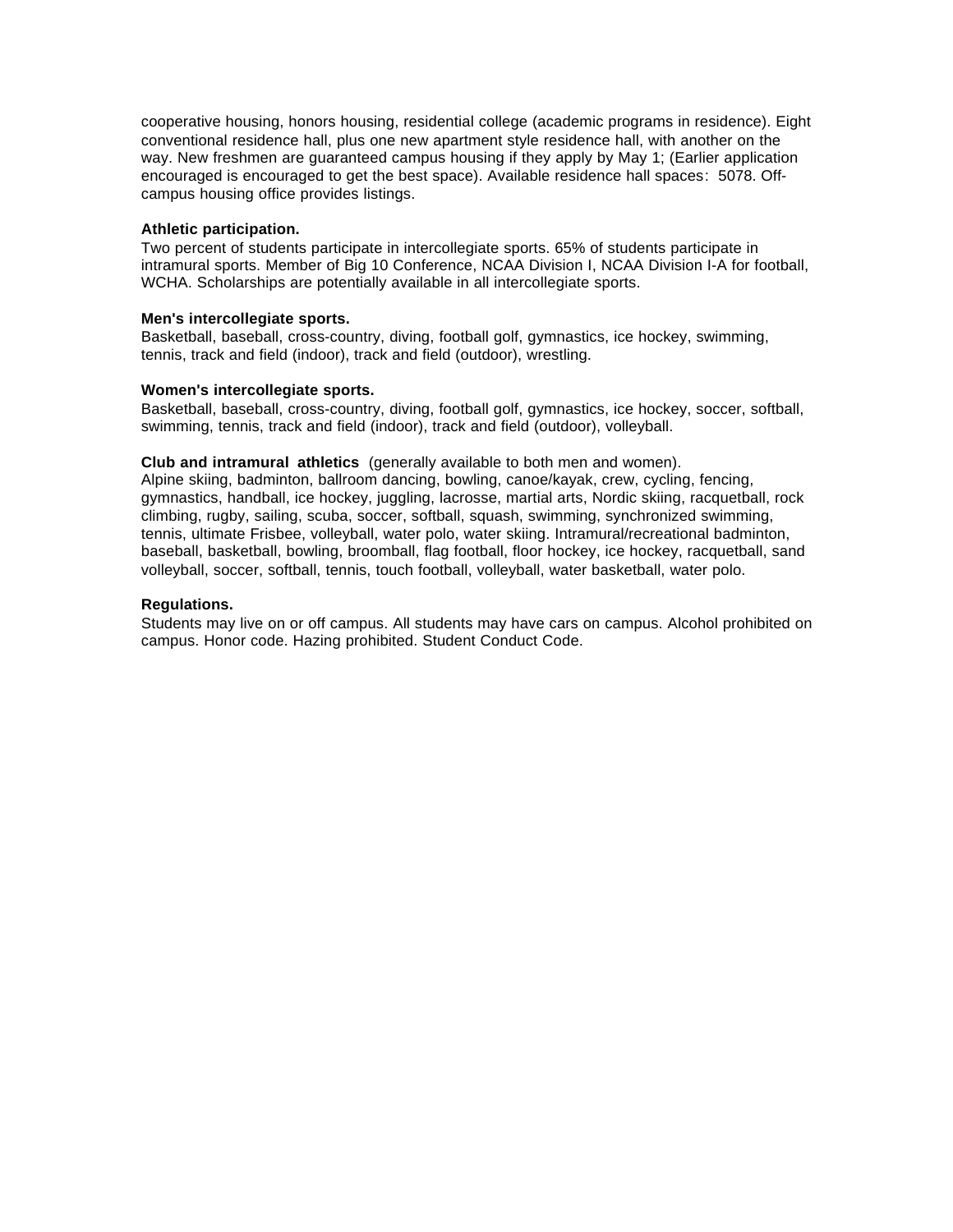cooperative housing, honors housing, residential college (academic programs in residence). Eight conventional residence hall, plus one new apartment style residence hall, with another on the way. New freshmen are guaranteed campus housing if they apply by May 1; (Earlier application encouraged is encouraged to get the best space). Available residence hall spaces: 5078. Offcampus housing office provides listings.

#### **Athletic participation.**

Two percent of students participate in intercollegiate sports. 65% of students participate in intramural sports. Member of Big 10 Conference, NCAA Division I, NCAA Division I-A for football, WCHA. Scholarships are potentially available in all intercollegiate sports.

#### **Men's intercollegiate sports.**

Basketball, baseball, cross-country, diving, football golf, gymnastics, ice hockey, swimming, tennis, track and field (indoor), track and field (outdoor), wrestling.

#### **Women's intercollegiate sports.**

Basketball, baseball, cross-country, diving, football golf, gymnastics, ice hockey, soccer, softball, swimming, tennis, track and field (indoor), track and field (outdoor), volleyball.

### **Club and intramural athletics** (generally available to both men and women).

Alpine skiing, badminton, ballroom dancing, bowling, canoe/kayak, crew, cycling, fencing, gymnastics, handball, ice hockey, juggling, lacrosse, martial arts, Nordic skiing, racquetball, rock climbing, rugby, sailing, scuba, soccer, softball, squash, swimming, synchronized swimming, tennis, ultimate Frisbee, volleyball, water polo, water skiing. Intramural/recreational badminton, baseball, basketball, bowling, broomball, flag football, floor hockey, ice hockey, racquetball, sand volleyball, soccer, softball, tennis, touch football, volleyball, water basketball, water polo.

#### **Regulations.**

Students may live on or off campus. All students may have cars on campus. Alcohol prohibited on campus. Honor code. Hazing prohibited. Student Conduct Code.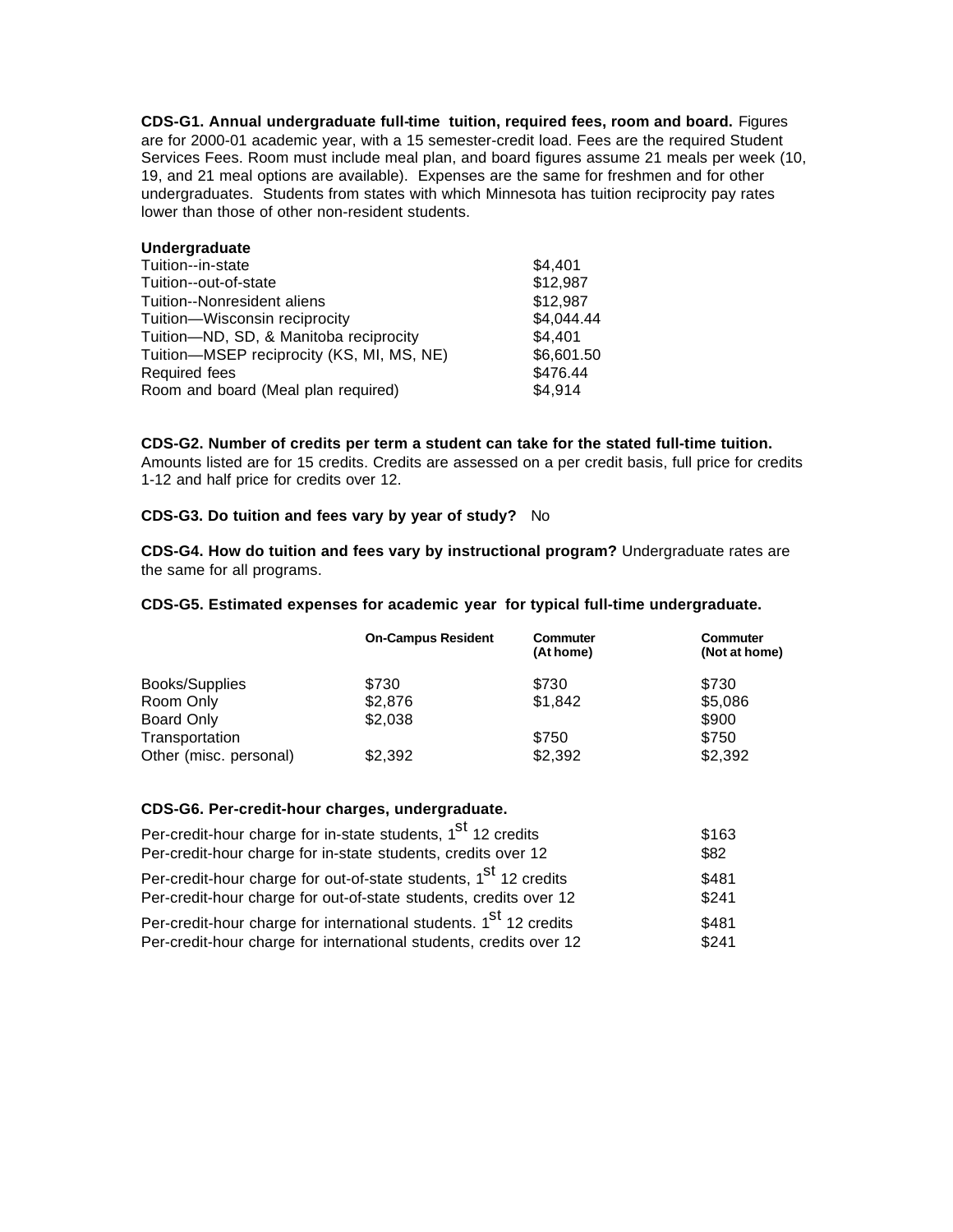**CDS-G1. Annual undergraduate full-time tuition, required fees, room and board.** Figures are for 2000-01 academic year, with a 15 semester-credit load. Fees are the required Student Services Fees. Room must include meal plan, and board figures assume 21 meals per week (10, 19, and 21 meal options are available). Expenses are the same for freshmen and for other undergraduates. Students from states with which Minnesota has tuition reciprocity pay rates lower than those of other non-resident students.

# **Undergraduate**

| Tuition--in-state                         | \$4,401    |
|-------------------------------------------|------------|
| Tuition--out-of-state                     | \$12,987   |
| Tuition--Nonresident aliens               | \$12,987   |
| Tuition-Wisconsin reciprocity             | \$4,044.44 |
| Tuition-ND, SD, & Manitoba reciprocity    | \$4.401    |
| Tuition-MSEP reciprocity (KS, MI, MS, NE) | \$6,601.50 |
| Required fees                             | \$476.44   |
| Room and board (Meal plan required)       | \$4,914    |

**CDS-G2. Number of credits per term a student can take for the stated full-time tuition.** Amounts listed are for 15 credits. Credits are assessed on a per credit basis, full price for credits 1-12 and half price for credits over 12.

#### **CDS-G3. Do tuition and fees vary by year of study?** No

**CDS-G4. How do tuition and fees vary by instructional program?** Undergraduate rates are the same for all programs.

#### **CDS-G5. Estimated expenses for academic year for typical full-time undergraduate.**

|                        | <b>On-Campus Resident</b> | <b>Commuter</b><br>(At home) | <b>Commuter</b><br>(Not at home) |
|------------------------|---------------------------|------------------------------|----------------------------------|
| Books/Supplies         | \$730                     | \$730                        | \$730                            |
| Room Only              | \$2,876                   | \$1,842                      | \$5,086                          |
| Board Only             | \$2,038                   |                              | \$900                            |
| Transportation         |                           | \$750                        | \$750                            |
| Other (misc. personal) | \$2,392                   | \$2,392                      | \$2,392                          |

#### **CDS-G6. Per-credit-hour charges, undergraduate.**

| Per-credit-hour charge for in-state students, 1 <sup>St</sup> 12 credits                                                                          | \$163          |
|---------------------------------------------------------------------------------------------------------------------------------------------------|----------------|
| Per-credit-hour charge for in-state students, credits over 12                                                                                     | \$82           |
| Per-credit-hour charge for out-of-state students, 1 <sup>St</sup> 12 credits<br>Per-credit-hour charge for out-of-state students, credits over 12 | \$481<br>\$241 |
| Per-credit-hour charge for international students. 1 <sup>st</sup> 12 credits                                                                     | \$481          |
| Per-credit-hour charge for international students, credits over 12                                                                                | \$241          |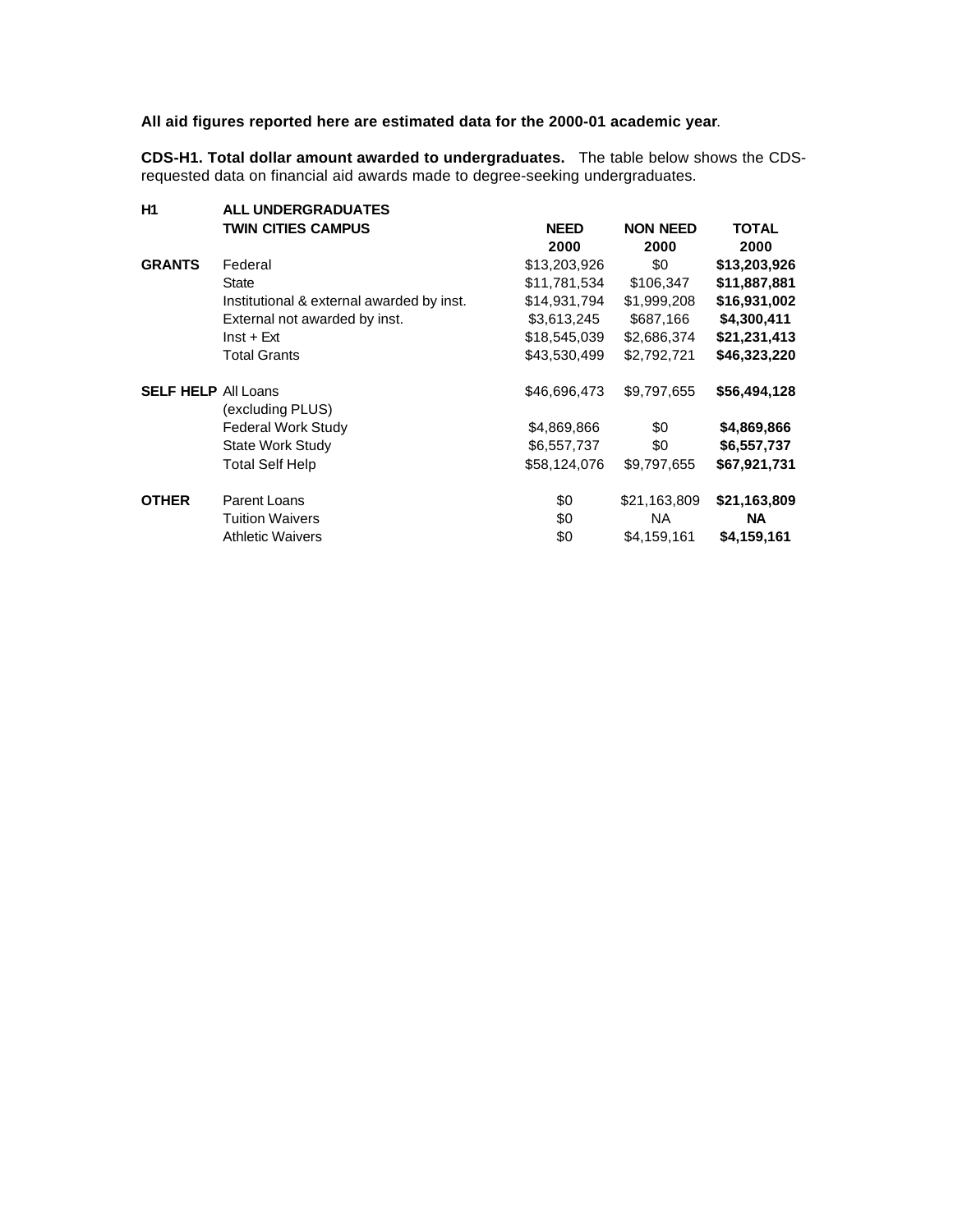# **All aid figures reported here are estimated data for the 2000-01 academic year**.

**CDS-H1. Total dollar amount awarded to undergraduates.** The table below shows the CDSrequested data on financial aid awards made to degree-seeking undergraduates.

| <b>TWIN CITIES CAMPUS</b>                 | <b>NEED</b>                                             | <b>NON NEED</b> | <b>TOTAL</b> |  |  |  |  |  |
|-------------------------------------------|---------------------------------------------------------|-----------------|--------------|--|--|--|--|--|
|                                           | 2000                                                    | 2000            | 2000         |  |  |  |  |  |
| Federal                                   | \$13,203,926                                            | \$0             | \$13,203,926 |  |  |  |  |  |
| State                                     | \$11,781,534                                            | \$106,347       | \$11,887,881 |  |  |  |  |  |
| Institutional & external awarded by inst. | \$14,931,794                                            | \$1,999,208     | \$16,931,002 |  |  |  |  |  |
| External not awarded by inst.             | \$3,613,245                                             | \$687,166       | \$4,300,411  |  |  |  |  |  |
| $Inst + Ext$                              | \$18,545,039                                            | \$2,686,374     | \$21,231,413 |  |  |  |  |  |
| <b>Total Grants</b>                       | \$43,530,499                                            | \$2,792,721     | \$46,323,220 |  |  |  |  |  |
|                                           | \$46,696,473                                            | \$9,797,655     | \$56,494,128 |  |  |  |  |  |
| (excluding PLUS)                          |                                                         |                 |              |  |  |  |  |  |
| <b>Federal Work Study</b>                 | \$4,869,866                                             | \$0             | \$4,869,866  |  |  |  |  |  |
| State Work Study                          | \$6,557,737                                             | \$0             | \$6,557,737  |  |  |  |  |  |
| <b>Total Self Help</b>                    | \$58,124,076                                            | \$9,797,655     | \$67,921,731 |  |  |  |  |  |
| Parent Loans                              | \$0                                                     | \$21,163,809    | \$21,163,809 |  |  |  |  |  |
| <b>Tuition Waivers</b>                    | \$0                                                     | <b>NA</b>       | <b>NA</b>    |  |  |  |  |  |
| <b>Athletic Waivers</b>                   | \$0                                                     | \$4,159,161     | \$4,159,161  |  |  |  |  |  |
|                                           | <b>ALL UNDERGRADUATES</b><br><b>SELF HELP All Loans</b> |                 |              |  |  |  |  |  |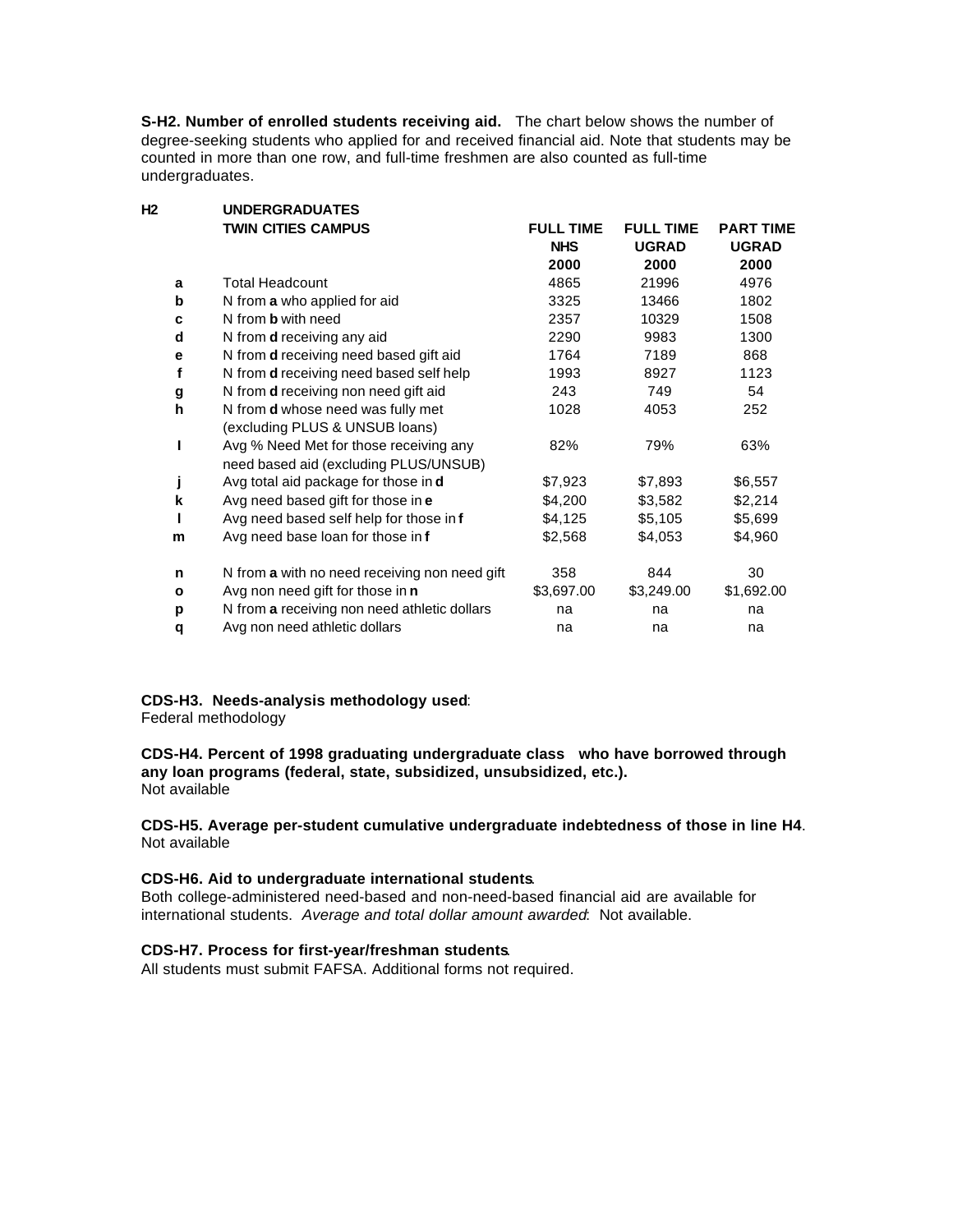**S-H2. Number of enrolled students receiving aid.** The chart below shows the number of degree-seeking students who applied for and received financial aid. Note that students may be counted in more than one row, and full-time freshmen are also counted as full-time undergraduates.

| Н2           | <b>UNDERGRADUATES</b>                          |                  |                  |                  |
|--------------|------------------------------------------------|------------------|------------------|------------------|
|              | <b>TWIN CITIES CAMPUS</b>                      | <b>FULL TIME</b> | <b>FULL TIME</b> | <b>PART TIME</b> |
|              |                                                | <b>NHS</b>       | <b>UGRAD</b>     | <b>UGRAD</b>     |
|              |                                                | 2000             | 2000             | 2000             |
| a            | <b>Total Headcount</b>                         | 4865             | 21996            | 4976             |
| b            | N from a who applied for aid                   | 3325             | 13466            | 1802             |
| c            | N from <b>b</b> with need                      | 2357             | 10329            | 1508             |
| d            | N from <b>d</b> receiving any aid              | 2290             | 9983             | 1300             |
| е            | N from <b>d</b> receiving need based gift aid  | 1764             | 7189             | 868              |
| f            | N from <b>d</b> receiving need based self help | 1993             | 8927             | 1123             |
| g            | N from <b>d</b> receiving non need gift aid    | 243              | 749              | 54               |
| h            | N from <b>d</b> whose need was fully met       | 1028             | 4053             | 252              |
|              | (excluding PLUS & UNSUB loans)                 |                  |                  |                  |
| ı            | Avg % Need Met for those receiving any         | 82%              | 79%              | 63%              |
|              | need based aid (excluding PLUS/UNSUB)          |                  |                  |                  |
| j            | Avg total aid package for those in <b>d</b>    | \$7,923          | \$7,893          | \$6,557          |
| k            | Avg need based gift for those in e             | \$4,200          | \$3,582          | \$2,214          |
| L            | Avg need based self help for those in f        | \$4,125          | \$5,105          | \$5,699          |
| m            | Avg need base loan for those in f              | \$2,568          | \$4,053          | \$4,960          |
| n            | N from a with no need receiving non need gift  | 358              | 844              | 30               |
| $\mathbf{o}$ | Avg non need gift for those in <b>n</b>        | \$3,697.00       | \$3,249.00       | \$1,692.00       |
| p            | N from a receiving non need athletic dollars   | na               | na               | na               |
| q            | Avg non need athletic dollars                  | na               | na               | na               |
|              |                                                |                  |                  |                  |

# **CDS-H3. Needs-analysis methodology used**:

Federal methodology

**CDS-H4. Percent of 1998 graduating undergraduate class who have borrowed through any loan programs (federal, state, subsidized, unsubsidized, etc.).** Not available

**CDS-H5. Average per-student cumulative undergraduate indebtedness of those in line H4**. Not available

# **CDS-H6. Aid to undergraduate international students**.

Both college-administered need-based and non-need-based financial aid are available for international students. *Average and total dollar amount awarded*: Not available.

# **CDS-H7. Process for first-year/freshman students**.

All students must submit FAFSA. Additional forms not required.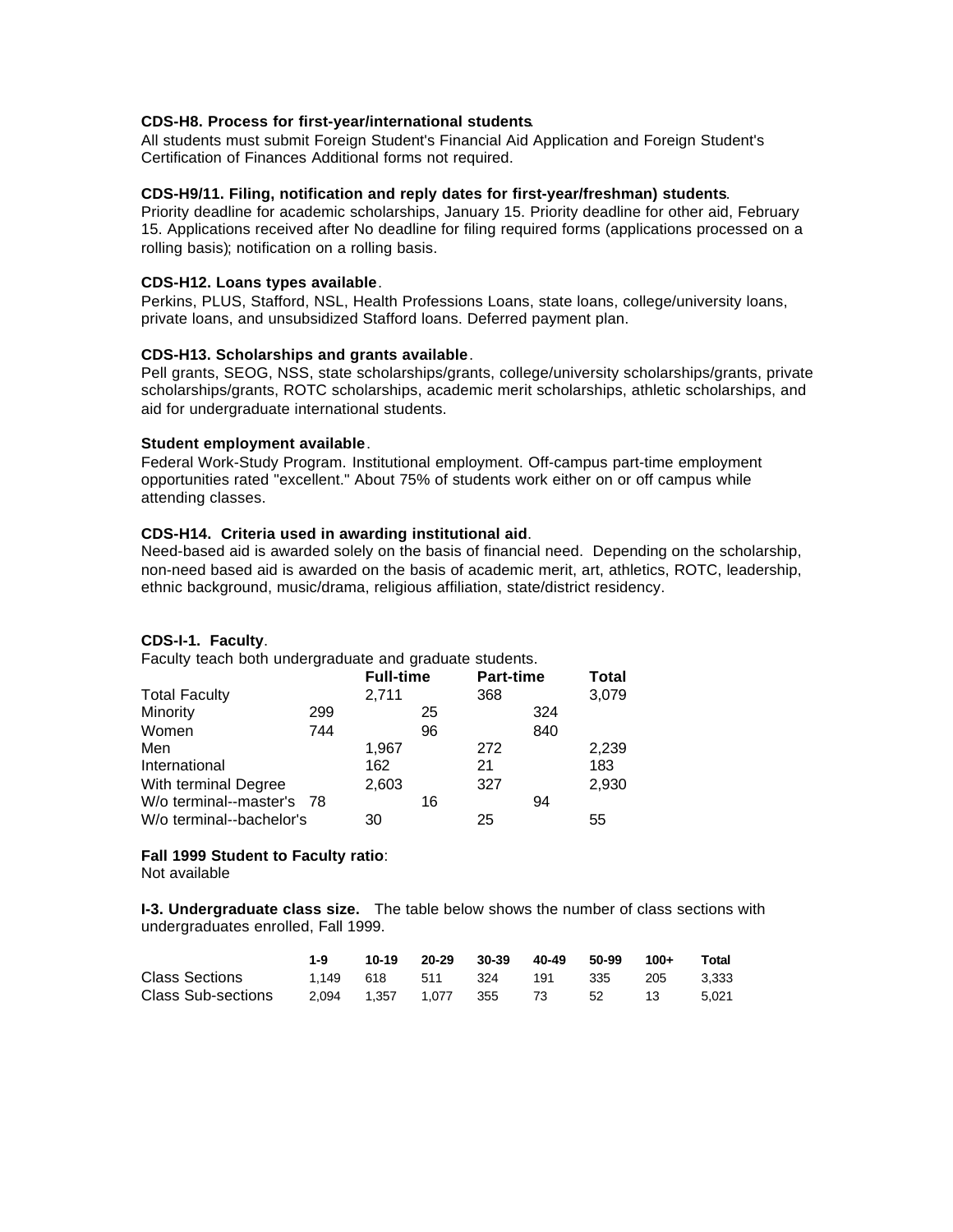#### **CDS-H8. Process for first-year/international students**.

All students must submit Foreign Student's Financial Aid Application and Foreign Student's Certification of Finances Additional forms not required.

#### **CDS-H9/11. Filing, notification and reply dates for first-year/freshman) students**.

Priority deadline for academic scholarships, January 15. Priority deadline for other aid, February 15. Applications received after No deadline for filing required forms (applications processed on a rolling basis); notification on a rolling basis.

#### **CDS-H12. Loans types available**.

Perkins, PLUS, Stafford, NSL, Health Professions Loans, state loans, college/university loans, private loans, and unsubsidized Stafford loans. Deferred payment plan.

#### **CDS-H13. Scholarships and grants available**.

Pell grants, SEOG, NSS, state scholarships/grants, college/university scholarships/grants, private scholarships/grants, ROTC scholarships, academic merit scholarships, athletic scholarships, and aid for undergraduate international students.

#### **Student employment available**.

Federal Work-Study Program. Institutional employment. Off-campus part-time employment opportunities rated "excellent." About 75% of students work either on or off campus while attending classes.

# **CDS-H14. Criteria used in awarding institutional aid**.

Need-based aid is awarded solely on the basis of financial need. Depending on the scholarship, non-need based aid is awarded on the basis of academic merit, art, athletics, ROTC, leadership, ethnic background, music/drama, religious affiliation, state/district residency.

# **CDS-I-1. Faculty**.

Faculty teach both undergraduate and graduate students.

|                           |     | <b>Full-time</b> |    | <b>Part-time</b> |     | Total |
|---------------------------|-----|------------------|----|------------------|-----|-------|
| <b>Total Faculty</b>      |     | 2,711            |    | 368              |     | 3,079 |
| Minority                  | 299 |                  | 25 |                  | 324 |       |
| Women                     | 744 |                  | 96 |                  | 840 |       |
| Men                       |     | 1,967            |    | 272              |     | 2,239 |
| International             |     | 162              |    | 21               |     | 183   |
| With terminal Degree      |     | 2,603            |    | 327              |     | 2,930 |
| W/o terminal--master's 78 |     |                  | 16 |                  | 94  |       |
| W/o terminal--bachelor's  |     | 30               |    | 25               |     | 55    |

#### **Fall 1999 Student to Faculty ratio**:

Not available

**I-3. Undergraduate class size.** The table below shows the number of class sections with undergraduates enrolled, Fall 1999.

|                       | $1-9$ |                                             | 10-19 20-29 30-39 40-49 50-99 |  | $100+$ | Total |
|-----------------------|-------|---------------------------------------------|-------------------------------|--|--------|-------|
| <b>Class Sections</b> |       | 1.149 618 511 324 191 335 205 3.333         |                               |  |        |       |
| Class Sub-sections    |       | 2.094  1.357  1.077  355  73  52  13  5.021 |                               |  |        |       |